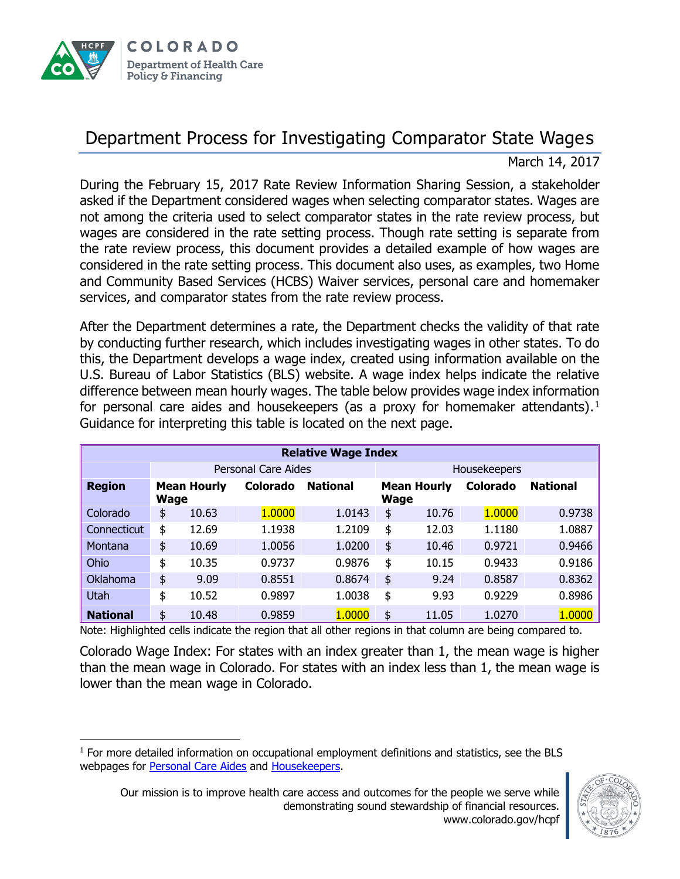

 $\overline{a}$ 

## Department Process for Investigating Comparator State Wages

March 14, 2017

During the February 15, 2017 Rate Review Information Sharing Session, a stakeholder asked if the Department considered wages when selecting comparator states. Wages are not among the criteria used to select comparator states in the rate review process, but wages are considered in the rate setting process. Though rate setting is separate from the rate review process, this document provides a detailed example of how wages are considered in the rate setting process. This document also uses, as examples, two Home and Community Based Services (HCBS) Waiver services, personal care and homemaker services, and comparator states from the rate review process.

After the Department determines a rate, the Department checks the validity of that rate by conducting further research, which includes investigating wages in other states. To do this, the Department develops a wage index, created using information available on the U.S. Bureau of Labor Statistics (BLS) website. A wage index helps indicate the relative difference between mean hourly wages. The table below provides wage index information for personal care aides and housekeepers (as a proxy for homemaker attendants).<sup>1</sup> Guidance for interpreting this table is located on the next page.

| <b>Relative Wage Index</b> |                                   |       |          |                 |                                   |       |                 |                 |
|----------------------------|-----------------------------------|-------|----------|-----------------|-----------------------------------|-------|-----------------|-----------------|
|                            | <b>Personal Care Aides</b>        |       |          |                 | Housekeepers                      |       |                 |                 |
| <b>Region</b>              | <b>Mean Hourly</b><br><b>Wage</b> |       | Colorado | <b>National</b> | <b>Mean Hourly</b><br><b>Wage</b> |       | <b>Colorado</b> | <b>National</b> |
| Colorado                   | \$                                | 10.63 | 1.0000   | 1.0143          | \$                                | 10.76 | 1.0000          | 0.9738          |
| <b>Connecticut</b>         | \$                                | 12.69 | 1.1938   | 1.2109          | \$                                | 12.03 | 1.1180          | 1.0887          |
| Montana                    | \$                                | 10.69 | 1.0056   | 1.0200          | \$                                | 10.46 | 0.9721          | 0.9466          |
| Ohio                       | \$                                | 10.35 | 0.9737   | 0.9876          | \$                                | 10.15 | 0.9433          | 0.9186          |
| Oklahoma                   | \$                                | 9.09  | 0.8551   | 0.8674          | \$                                | 9.24  | 0.8587          | 0.8362          |
| Utah                       | \$                                | 10.52 | 0.9897   | 1.0038          | \$                                | 9.93  | 0.9229          | 0.8986          |
| <b>National</b>            | \$                                | 10.48 | 0.9859   | 1.0000          | \$                                | 11.05 | 1.0270          | 1.0000          |

Note: Highlighted cells indicate the region that all other regions in that column are being compared to.

Colorado Wage Index: For states with an index greater than 1, the mean wage is higher than the mean wage in Colorado. For states with an index less than 1, the mean wage is lower than the mean wage in Colorado.

<sup>&</sup>lt;sup>1</sup> For more detailed information on occupational employment definitions and statistics, see the BLS webpages for [Personal Care Aides](https://www.bls.gov/oes/current/oes399021.htm) and [Housekeepers.](https://www.bls.gov/oes/current/oes372012.htm)